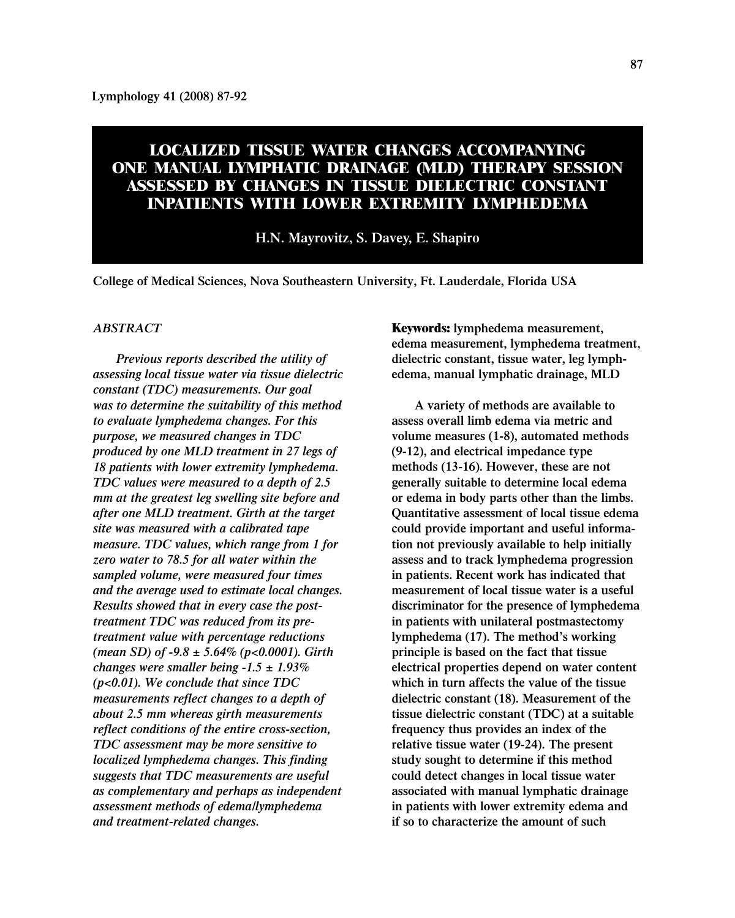# **LOCALIZED TISSUE WATER CHANGES ACCOMPANYING ONE MANUAL LYMPHATIC DRAINAGE (MLD) THERAPY SESSION ASSESSED BY CHANGES IN TISSUE DIELECTRIC CONSTANT INPATIENTS WITH LOWER EXTREMITY LYMPHEDEMA**

**H.N. Mayrovitz, S. Davey, E. Shapiro**

**College of Medical Sciences, Nova Southeastern University, Ft. Lauderdale, Florida USA**

## *ABSTRACT*

*Previous reports described the utility of assessing local tissue water via tissue dielectric constant (TDC) measurements. Our goal was to determine the suitability of this method to evaluate lymphedema changes. For this purpose, we measured changes in TDC produced by one MLD treatment in 27 legs of 18 patients with lower extremity lymphedema. TDC values were measured to a depth of 2.5 mm at the greatest leg swelling site before and after one MLD treatment. Girth at the target site was measured with a calibrated tape measure. TDC values, which range from 1 for zero water to 78.5 for all water within the sampled volume, were measured four times and the average used to estimate local changes. Results showed that in every case the posttreatment TDC was reduced from its pretreatment value with percentage reductions (mean SD) of -9.8 ± 5.64% (p<0.0001). Girth changes were smaller being -1.5 ± 1.93% (p<0.01). We conclude that since TDC measurements reflect changes to a depth of about 2.5 mm whereas girth measurements reflect conditions of the entire cross-section, TDC assessment may be more sensitive to localized lymphedema changes. This finding suggests that TDC measurements are useful as complementary and perhaps as independent assessment methods of edema/lymphedema and treatment-related changes.*

**Keywords: lymphedema measurement, edema measurement, lymphedema treatment, dielectric constant, tissue water, leg lymphedema, manual lymphatic drainage, MLD**

**A variety of methods are available to assess overall limb edema via metric and volume measures (1-8), automated methods (9-12), and electrical impedance type methods (13-16). However, these are not generally suitable to determine local edema or edema in body parts other than the limbs. Quantitative assessment of local tissue edema could provide important and useful information not previously available to help initially assess and to track lymphedema progression in patients. Recent work has indicated that measurement of local tissue water is a useful discriminator for the presence of lymphedema in patients with unilateral postmastectomy lymphedema (17). The method's working principle is based on the fact that tissue electrical properties depend on water content which in turn affects the value of the tissue dielectric constant (18). Measurement of the tissue dielectric constant (TDC) at a suitable frequency thus provides an index of the relative tissue water (19-24). The present study sought to determine if this method could detect changes in local tissue water associated with manual lymphatic drainage in patients with lower extremity edema and if so to characterize the amount of such**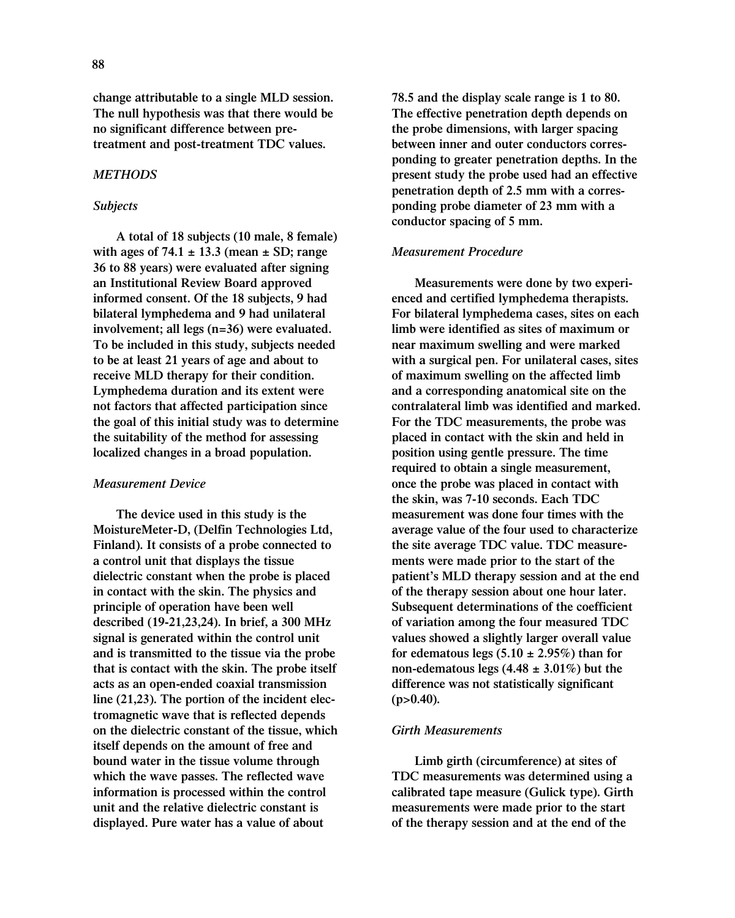**change attributable to a single MLD session. The null hypothesis was that there would be no significant difference between pretreatment and post-treatment TDC values.**

### *METHODS*

### *Subjects*

**A total of 18 subjects (10 male, 8 female) with ages of 74.1 ± 13.3 (mean ± SD; range 36 to 88 years) were evaluated after signing an Institutional Review Board approved informed consent. Of the 18 subjects, 9 had bilateral lymphedema and 9 had unilateral involvement; all legs (n=36) were evaluated. To be included in this study, subjects needed to be at least 21 years of age and about to receive MLD therapy for their condition. Lymphedema duration and its extent were not factors that affected participation since the goal of this initial study was to determine the suitability of the method for assessing localized changes in a broad population.**

#### *Measurement Device*

**The device used in this study is the MoistureMeter-D, (Delfin Technologies Ltd, Finland). It consists of a probe connected to a control unit that displays the tissue dielectric constant when the probe is placed in contact with the skin. The physics and principle of operation have been well described (19-21,23,24). In brief, a 300 MHz signal is generated within the control unit and is transmitted to the tissue via the probe that is contact with the skin. The probe itself acts as an open-ended coaxial transmission line (21,23). The portion of the incident electromagnetic wave that is reflected depends on the dielectric constant of the tissue, which itself depends on the amount of free and bound water in the tissue volume through which the wave passes. The reflected wave information is processed within the control unit and the relative dielectric constant is displayed. Pure water has a value of about**

**78.5 and the display scale range is 1 to 80. The effective penetration depth depends on the probe dimensions, with larger spacing between inner and outer conductors corresponding to greater penetration depths. In the present study the probe used had an effective penetration depth of 2.5 mm with a corresponding probe diameter of 23 mm with a conductor spacing of 5 mm.**

# *Measurement Procedure*

**Measurements were done by two experienced and certified lymphedema therapists. For bilateral lymphedema cases, sites on each limb were identified as sites of maximum or near maximum swelling and were marked with a surgical pen. For unilateral cases, sites of maximum swelling on the affected limb and a corresponding anatomical site on the contralateral limb was identified and marked. For the TDC measurements, the probe was placed in contact with the skin and held in position using gentle pressure. The time required to obtain a single measurement, once the probe was placed in contact with the skin, was 7-10 seconds. Each TDC measurement was done four times with the average value of the four used to characterize the site average TDC value. TDC measurements were made prior to the start of the patient's MLD therapy session and at the end of the therapy session about one hour later. Subsequent determinations of the coefficient of variation among the four measured TDC values showed a slightly larger overall value** for edematous legs  $(5.10 \pm 2.95\%)$  than for **non-edematous legs (4.48 ± 3.01%) but the difference was not statistically significant (p>0.40).**

#### *Girth Measurements*

**Limb girth (circumference) at sites of TDC measurements was determined using a calibrated tape measure (Gulick type). Girth measurements were made prior to the start of the therapy session and at the end of the**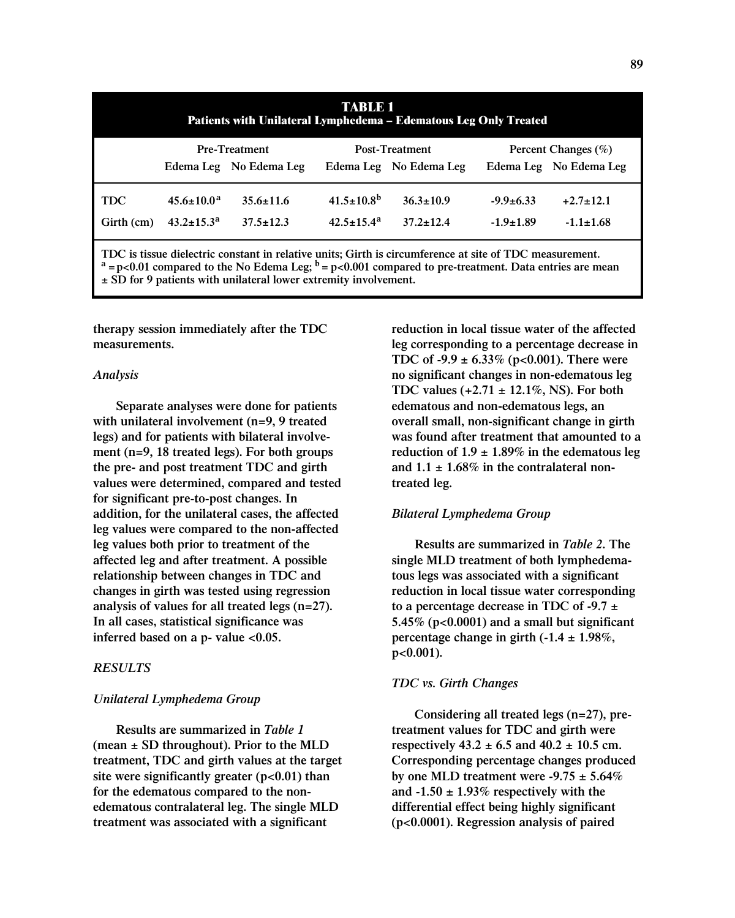| TABLE<br>Patients with Unilateral Lymphedema – Edematous Leg Only Treated |                         |                        |                         |                        |                         |                        |  |
|---------------------------------------------------------------------------|-------------------------|------------------------|-------------------------|------------------------|-------------------------|------------------------|--|
|                                                                           | <b>Pre-Treatment</b>    |                        | <b>Post-Treatment</b>   |                        | Percent Changes $(\% )$ |                        |  |
|                                                                           |                         | Edema Leg No Edema Leg |                         | Edema Leg No Edema Leg |                         | Edema Leg No Edema Leg |  |
| <b>TDC</b>                                                                | $45.6 + 10.0^a$         | $35.6 \pm 11.6$        | $41.5 \pm 10.8^{\rm b}$ | $36.3 \pm 10.9$        | $-9.9 \pm 6.33$         | $+2.7\pm12.1$          |  |
| Girth (cm)                                                                | $43.2 \pm 15.3^{\rm a}$ | $37.5 \pm 12.3$        | $42.5 \pm 15.4^{\rm a}$ | $37.2 + 12.4$          | $-1.9 \pm 1.89$         | $-1.1 \pm 1.68$        |  |
|                                                                           |                         |                        |                         |                        |                         |                        |  |

**TDC is tissue dielectric constant in relative units; Girth is circumference at site of TDC measurement.**  $a = p < 0.01$  compared to the No Edema Leg;  $b = p < 0.001$  compared to pre-treatment. Data entries are mean **± SD for 9 patients with unilateral lower extremity involvement.**

**therapy session immediately after the TDC measurements.**

#### *Analysis*

**Separate analyses were done for patients with unilateral involvement (n=9, 9 treated legs) and for patients with bilateral involvement (n=9, 18 treated legs). For both groups the pre- and post treatment TDC and girth values were determined, compared and tested for significant pre-to-post changes. In addition, for the unilateral cases, the affected leg values were compared to the non-affected leg values both prior to treatment of the affected leg and after treatment. A possible relationship between changes in TDC and changes in girth was tested using regression analysis of values for all treated legs (n=27). In all cases, statistical significance was inferred based on a p- value <0.05.**

# *RESULTS*

# *Unilateral Lymphedema Group*

**Results are summarized in** *Table 1*  **(mean ± SD throughout). Prior to the MLD treatment, TDC and girth values at the target site were significantly greater (p<0.01) than for the edematous compared to the nonedematous contralateral leg. The single MLD treatment was associated with a significant**

**reduction in local tissue water of the affected leg corresponding to a percentage decrease in TDC of -9.9 ± 6.33% (p<0.001). There were no significant changes in non-edematous leg TDC values (+2.71 ± 12.1%, NS). For both edematous and non-edematous legs, an overall small, non-significant change in girth was found after treatment that amounted to a reduction of 1.9 ± 1.89% in the edematous leg and 1.1 ± 1.68% in the contralateral nontreated leg.**

## *Bilateral Lymphedema Group*

**Results are summarized in** *Table 2***. The single MLD treatment of both lymphedematous legs was associated with a significant reduction in local tissue water corresponding to a percentage decrease in TDC of -9.7 ± 5.45% (p<0.0001) and a small but significant percentage change in girth (-1.4 ± 1.98%, p<0.001).**

#### *TDC vs. Girth Changes*

**Considering all treated legs (n=27), pretreatment values for TDC and girth were respectively 43.2 ± 6.5 and 40.2 ± 10.5 cm. Corresponding percentage changes produced by one MLD treatment were -9.75 ± 5.64% and -1.50 ± 1.93% respectively with the differential effect being highly significant (p<0.0001). Regression analysis of paired**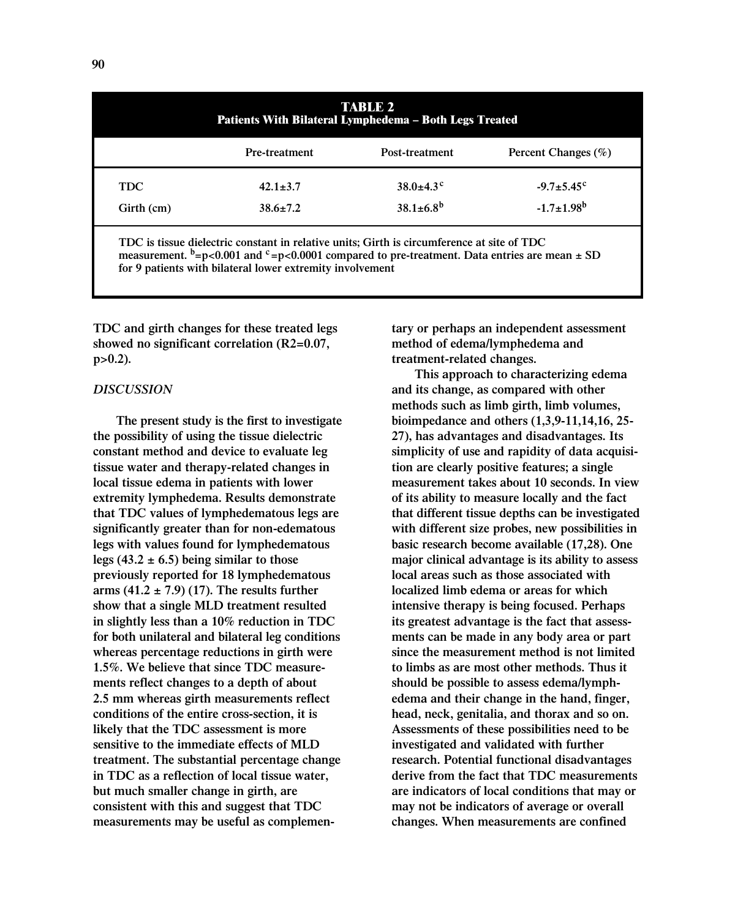| <b>TABLE 2</b><br>Patients With Bilateral Lymphedema - Both Legs Treated |                      |                             |                         |  |  |  |
|--------------------------------------------------------------------------|----------------------|-----------------------------|-------------------------|--|--|--|
|                                                                          | <b>Pre-treatment</b> | Post-treatment              | Percent Changes (%)     |  |  |  |
| <b>TDC</b>                                                               | $42.1 \pm 3.7$       | $38.0 \pm 4.3$ <sup>c</sup> | $-9.7 \pm 5.45^{\circ}$ |  |  |  |
| Girth (cm)                                                               | $38.6 \pm 7.2$       | $38.1 \pm 6.8^{b}$          | $-1.7 \pm 1.98^b$       |  |  |  |

measurement. <sup>b</sup>=p<0.001 and <sup>c</sup>=p<0.0001 compared to pre-treatment. Data entries are mean  $\pm$  SD **for 9 patients with bilateral lower extremity involvement**

**TDC and girth changes for these treated legs showed no significant correlation (R2=0.07, p>0.2).**

# *DISCUSSION*

**The present study is the first to investigate the possibility of using the tissue dielectric constant method and device to evaluate leg tissue water and therapy-related changes in local tissue edema in patients with lower extremity lymphedema. Results demonstrate that TDC values of lymphedematous legs are significantly greater than for non-edematous legs with values found for lymphedematous legs (43.2 ± 6.5) being similar to those previously reported for 18 lymphedematous arms (41.2 ± 7.9) (17). The results further show that a single MLD treatment resulted in slightly less than a 10% reduction in TDC for both unilateral and bilateral leg conditions whereas percentage reductions in girth were 1.5%. We believe that since TDC measurements reflect changes to a depth of about 2.5 mm whereas girth measurements reflect conditions of the entire cross-section, it is likely that the TDC assessment is more sensitive to the immediate effects of MLD treatment. The substantial percentage change in TDC as a reflection of local tissue water, but much smaller change in girth, are consistent with this and suggest that TDC measurements may be useful as complemen-** **tary or perhaps an independent assessment method of edema/lymphedema and treatment-related changes.**

**This approach to characterizing edema and its change, as compared with other methods such as limb girth, limb volumes, bioimpedance and others (1,3,9-11,14,16, 25- 27), has advantages and disadvantages. Its simplicity of use and rapidity of data acquisition are clearly positive features; a single measurement takes about 10 seconds. In view of its ability to measure locally and the fact that different tissue depths can be investigated with different size probes, new possibilities in basic research become available (17,28). One major clinical advantage is its ability to assess local areas such as those associated with localized limb edema or areas for which intensive therapy is being focused. Perhaps its greatest advantage is the fact that assessments can be made in any body area or part since the measurement method is not limited to limbs as are most other methods. Thus it should be possible to assess edema/lymphedema and their change in the hand, finger, head, neck, genitalia, and thorax and so on. Assessments of these possibilities need to be investigated and validated with further research. Potential functional disadvantages derive from the fact that TDC measurements are indicators of local conditions that may or may not be indicators of average or overall changes. When measurements are confined**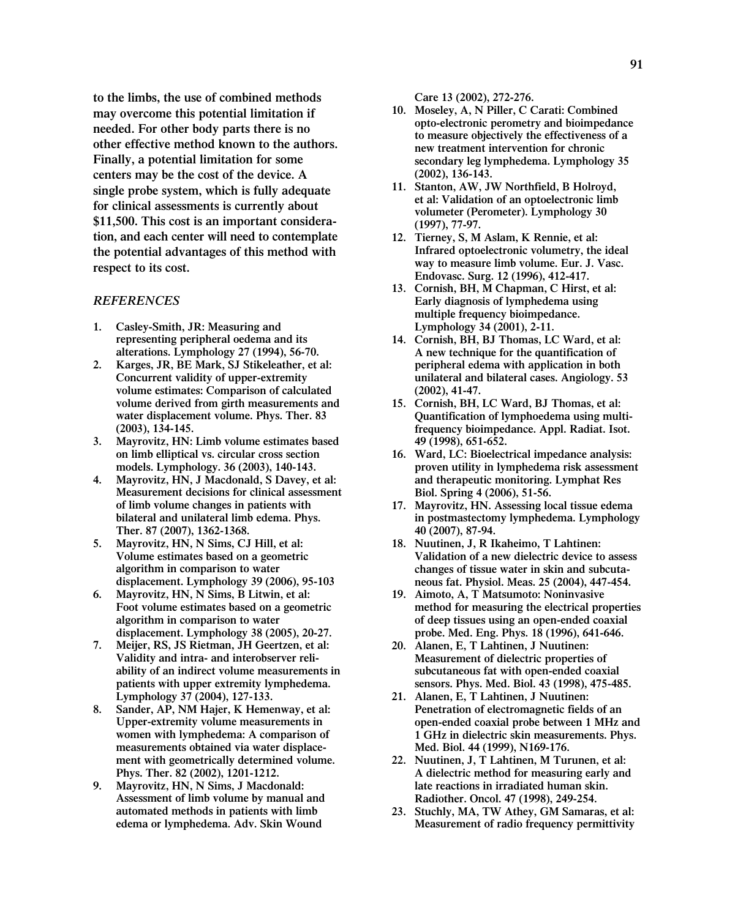**to the limbs, the use of combined methods may overcome this potential limitation if needed. For other body parts there is no other effective method known to the authors. Finally, a potential limitation for some centers may be the cost of the device. A single probe system, which is fully adequate for clinical assessments is currently about \$11,500. This cost is an important consideration, and each center will need to contemplate the potential advantages of this method with respect to its cost.**

### *REFERENCES*

- **1. Casley-Smith, JR: Measuring and representing peripheral oedema and its alterations. Lymphology 27 (1994), 56-70.**
- **2. Karges, JR, BE Mark, SJ Stikeleather, et al: Concurrent validity of upper-extremity volume estimates: Comparison of calculated volume derived from girth measurements and water displacement volume. Phys. Ther. 83 (2003), 134-145.**
- **3. Mayrovitz, HN: Limb volume estimates based on limb elliptical vs. circular cross section models. Lymphology. 36 (2003), 140-143.**
- **4. Mayrovitz, HN, J Macdonald, S Davey, et al: Measurement decisions for clinical assessment of limb volume changes in patients with bilateral and unilateral limb edema. Phys. Ther. 87 (2007), 1362-1368.**
- **5. Mayrovitz, HN, N Sims, CJ Hill, et al: Volume estimates based on a geometric algorithm in comparison to water displacement. Lymphology 39 (2006), 95-103**
- **6. Mayrovitz, HN, N Sims, B Litwin, et al: Foot volume estimates based on a geometric algorithm in comparison to water displacement. Lymphology 38 (2005), 20-27.**
- **7. Meijer, RS, JS Rietman, JH Geertzen, et al: Validity and intra- and interobserver reliability of an indirect volume measurements in patients with upper extremity lymphedema. Lymphology 37 (2004), 127-133.**
- **8. Sander, AP, NM Hajer, K Hemenway, et al: Upper-extremity volume measurements in women with lymphedema: A comparison of measurements obtained via water displacement with geometrically determined volume. Phys. Ther. 82 (2002), 1201-1212.**
- **9. Mayrovitz, HN, N Sims, J Macdonald: Assessment of limb volume by manual and automated methods in patients with limb edema or lymphedema. Adv. Skin Wound**

**Care 13 (2002), 272-276.**

- **10. Moseley, A, N Piller, C Carati: Combined opto-electronic perometry and bioimpedance to measure objectively the effectiveness of a new treatment intervention for chronic secondary leg lymphedema. Lymphology 35 (2002), 136-143.**
- **11. Stanton, AW, JW Northfield, B Holroyd, et al: Validation of an optoelectronic limb volumeter (Perometer). Lymphology 30 (1997), 77-97.**
- **12. Tierney, S, M Aslam, K Rennie, et al: Infrared optoelectronic volumetry, the ideal way to measure limb volume. Eur. J. Vasc. Endovasc. Surg. 12 (1996), 412-417.**
- **13. Cornish, BH, M Chapman, C Hirst, et al: Early diagnosis of lymphedema using multiple frequency bioimpedance. Lymphology 34 (2001), 2-11.**
- **14. Cornish, BH, BJ Thomas, LC Ward, et al: A new technique for the quantification of peripheral edema with application in both unilateral and bilateral cases. Angiology. 53 (2002), 41-47.**
- **15. Cornish, BH, LC Ward, BJ Thomas, et al: Quantification of lymphoedema using multifrequency bioimpedance. Appl. Radiat. Isot. 49 (1998), 651-652.**
- **16. Ward, LC: Bioelectrical impedance analysis: proven utility in lymphedema risk assessment and therapeutic monitoring. Lymphat Res Biol. Spring 4 (2006), 51-56.**
- **17. Mayrovitz, HN. Assessing local tissue edema in postmastectomy lymphedema. Lymphology 40 (2007), 87-94.**
- **18. Nuutinen, J, R Ikaheimo, T Lahtinen: Validation of a new dielectric device to assess changes of tissue water in skin and subcutaneous fat. Physiol. Meas. 25 (2004), 447-454.**
- **19. Aimoto, A, T Matsumoto: Noninvasive method for measuring the electrical properties of deep tissues using an open-ended coaxial probe. Med. Eng. Phys. 18 (1996), 641-646.**
- **20. Alanen, E, T Lahtinen, J Nuutinen: Measurement of dielectric properties of subcutaneous fat with open-ended coaxial sensors. Phys. Med. Biol. 43 (1998), 475-485.**
- **21. Alanen, E, T Lahtinen, J Nuutinen: Penetration of electromagnetic fields of an open-ended coaxial probe between 1 MHz and 1 GHz in dielectric skin measurements. Phys. Med. Biol. 44 (1999), N169-176.**
- **22. Nuutinen, J, T Lahtinen, M Turunen, et al: A dielectric method for measuring early and late reactions in irradiated human skin. Radiother. Oncol. 47 (1998), 249-254.**
- **23. Stuchly, MA, TW Athey, GM Samaras, et al: Measurement of radio frequency permittivity**